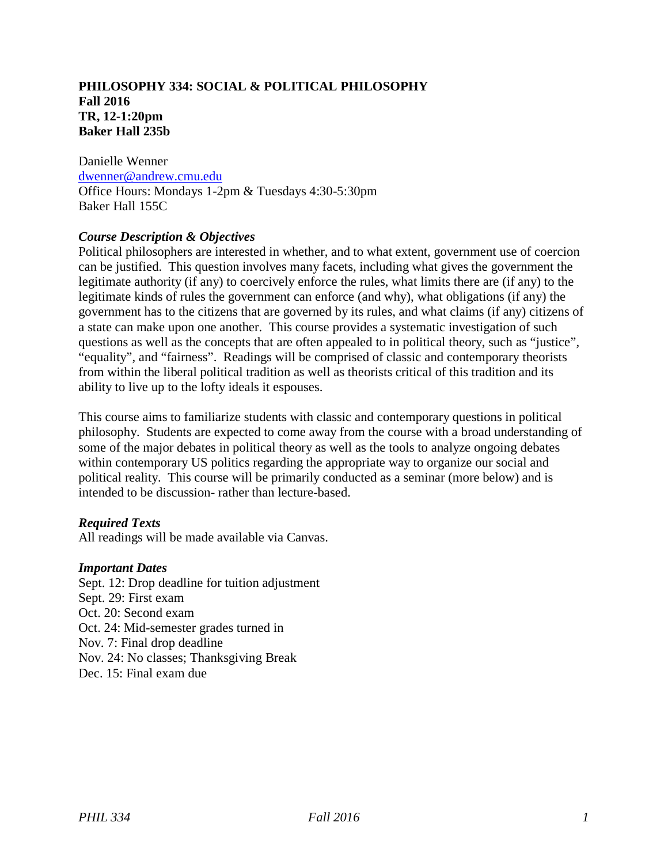## **PHILOSOPHY 334: SOCIAL & POLITICAL PHILOSOPHY Fall 2016 TR, 12-1:20pm Baker Hall 235b**

Danielle Wenner [dwenner@andrew.cmu.edu](mailto:dwenner@andrew.cmu.edu) Office Hours: Mondays 1-2pm & Tuesdays 4:30-5:30pm Baker Hall 155C

# *Course Description & Objectives*

Political philosophers are interested in whether, and to what extent, government use of coercion can be justified. This question involves many facets, including what gives the government the legitimate authority (if any) to coercively enforce the rules, what limits there are (if any) to the legitimate kinds of rules the government can enforce (and why), what obligations (if any) the government has to the citizens that are governed by its rules, and what claims (if any) citizens of a state can make upon one another. This course provides a systematic investigation of such questions as well as the concepts that are often appealed to in political theory, such as "justice", "equality", and "fairness". Readings will be comprised of classic and contemporary theorists from within the liberal political tradition as well as theorists critical of this tradition and its ability to live up to the lofty ideals it espouses.

This course aims to familiarize students with classic and contemporary questions in political philosophy. Students are expected to come away from the course with a broad understanding of some of the major debates in political theory as well as the tools to analyze ongoing debates within contemporary US politics regarding the appropriate way to organize our social and political reality. This course will be primarily conducted as a seminar (more below) and is intended to be discussion- rather than lecture-based.

## *Required Texts*

All readings will be made available via Canvas.

## *Important Dates*

Sept. 12: Drop deadline for tuition adjustment Sept. 29: First exam Oct. 20: Second exam Oct. 24: Mid-semester grades turned in Nov. 7: Final drop deadline Nov. 24: No classes; Thanksgiving Break Dec. 15: Final exam due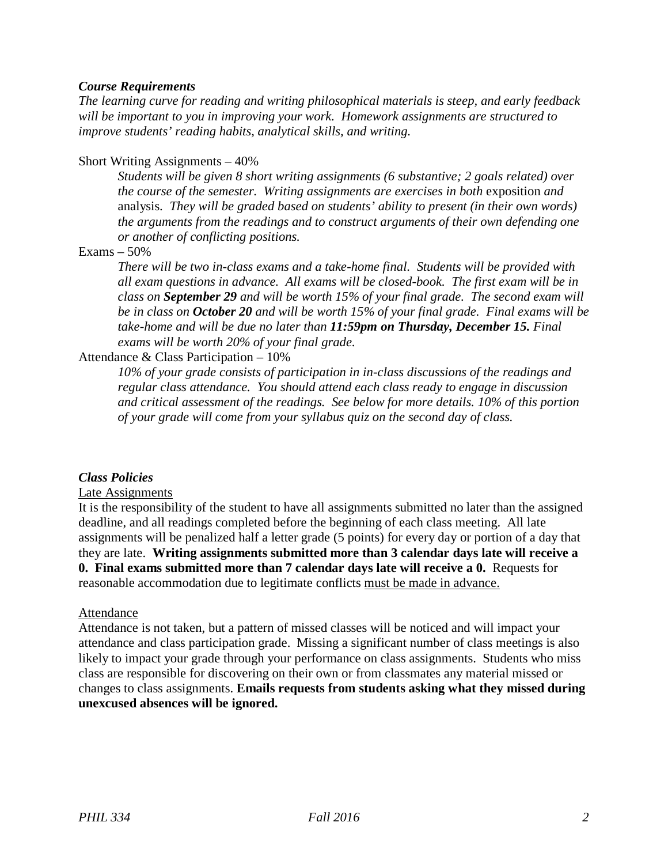## *Course Requirements*

*The learning curve for reading and writing philosophical materials is steep, and early feedback will be important to you in improving your work. Homework assignments are structured to improve students' reading habits, analytical skills, and writing.*

# Short Writing Assignments – 40%

*Students will be given 8 short writing assignments (6 substantive; 2 goals related) over the course of the semester. Writing assignments are exercises in both exposition and* analysis. *They will be graded based on students' ability to present (in their own words) the arguments from the readings and to construct arguments of their own defending one or another of conflicting positions.*

# $Examples - 50%$

*There will be two in-class exams and a take-home final. Students will be provided with all exam questions in advance. All exams will be closed-book. The first exam will be in class on September 29 and will be worth 15% of your final grade. The second exam will be in class on October 20 and will be worth 15% of your final grade. Final exams will be take-home and will be due no later than 11:59pm on Thursday, December 15. Final exams will be worth 20% of your final grade.*

# Attendance & Class Participation – 10%

*10% of your grade consists of participation in in-class discussions of the readings and regular class attendance. You should attend each class ready to engage in discussion and critical assessment of the readings. See below for more details. 10% of this portion of your grade will come from your syllabus quiz on the second day of class.*

## *Class Policies*

## Late Assignments

It is the responsibility of the student to have all assignments submitted no later than the assigned deadline, and all readings completed before the beginning of each class meeting. All late assignments will be penalized half a letter grade (5 points) for every day or portion of a day that they are late. **Writing assignments submitted more than 3 calendar days late will receive a 0. Final exams submitted more than 7 calendar days late will receive a 0.** Requests for reasonable accommodation due to legitimate conflicts must be made in advance.

## Attendance

Attendance is not taken, but a pattern of missed classes will be noticed and will impact your attendance and class participation grade. Missing a significant number of class meetings is also likely to impact your grade through your performance on class assignments. Students who miss class are responsible for discovering on their own or from classmates any material missed or changes to class assignments. **Emails requests from students asking what they missed during unexcused absences will be ignored.**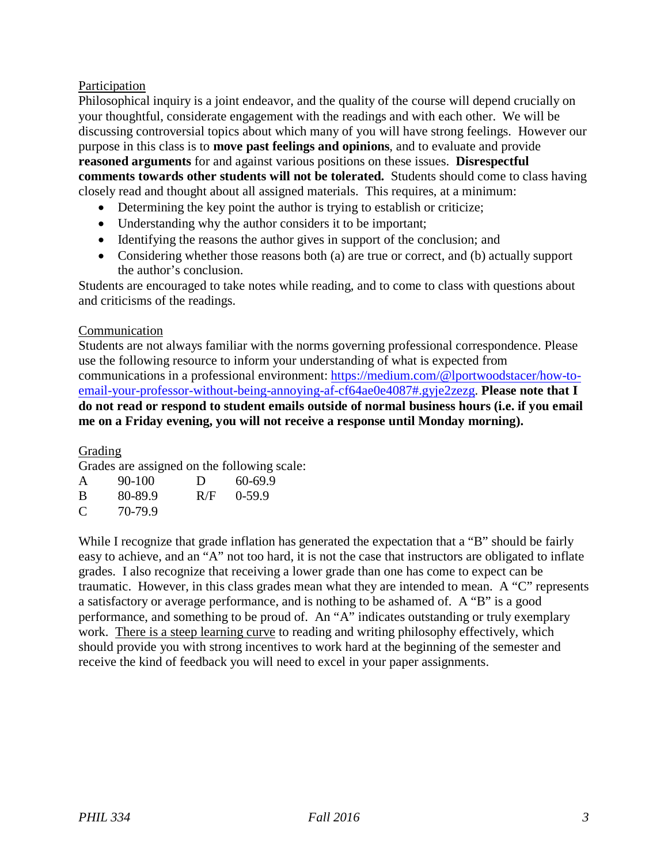# Participation

Philosophical inquiry is a joint endeavor, and the quality of the course will depend crucially on your thoughtful, considerate engagement with the readings and with each other. We will be discussing controversial topics about which many of you will have strong feelings. However our purpose in this class is to **move past feelings and opinions**, and to evaluate and provide **reasoned arguments** for and against various positions on these issues. **Disrespectful comments towards other students will not be tolerated.** Students should come to class having closely read and thought about all assigned materials. This requires, at a minimum:

- Determining the key point the author is trying to establish or criticize;
- Understanding why the author considers it to be important;
- Identifying the reasons the author gives in support of the conclusion; and
- Considering whether those reasons both (a) are true or correct, and (b) actually support the author's conclusion.

Students are encouraged to take notes while reading, and to come to class with questions about and criticisms of the readings.

# Communication

Students are not always familiar with the norms governing professional correspondence. Please use the following resource to inform your understanding of what is expected from communications in a professional environment: [https://medium.com/@lportwoodstacer/how-to](https://medium.com/@lportwoodstacer/how-to-email-your-professor-without-being-annoying-af-cf64ae0e4087#.gyje2zezg)[email-your-professor-without-being-annoying-af-cf64ae0e4087#.gyje2zezg.](https://medium.com/@lportwoodstacer/how-to-email-your-professor-without-being-annoying-af-cf64ae0e4087#.gyje2zezg) **Please note that I do not read or respond to student emails outside of normal business hours (i.e. if you email me on a Friday evening, you will not receive a response until Monday morning).**

Grading

Grades are assigned on the following scale:

| A | 90-100  | D   | 60-69.9  |
|---|---------|-----|----------|
| B | 80-89.9 | R/F | $0-59.9$ |
| C | 70-79.9 |     |          |

While I recognize that grade inflation has generated the expectation that a "B" should be fairly easy to achieve, and an "A" not too hard, it is not the case that instructors are obligated to inflate grades. I also recognize that receiving a lower grade than one has come to expect can be traumatic. However, in this class grades mean what they are intended to mean. A "C" represents a satisfactory or average performance, and is nothing to be ashamed of. A "B" is a good performance, and something to be proud of. An "A" indicates outstanding or truly exemplary work. There is a steep learning curve to reading and writing philosophy effectively, which should provide you with strong incentives to work hard at the beginning of the semester and receive the kind of feedback you will need to excel in your paper assignments.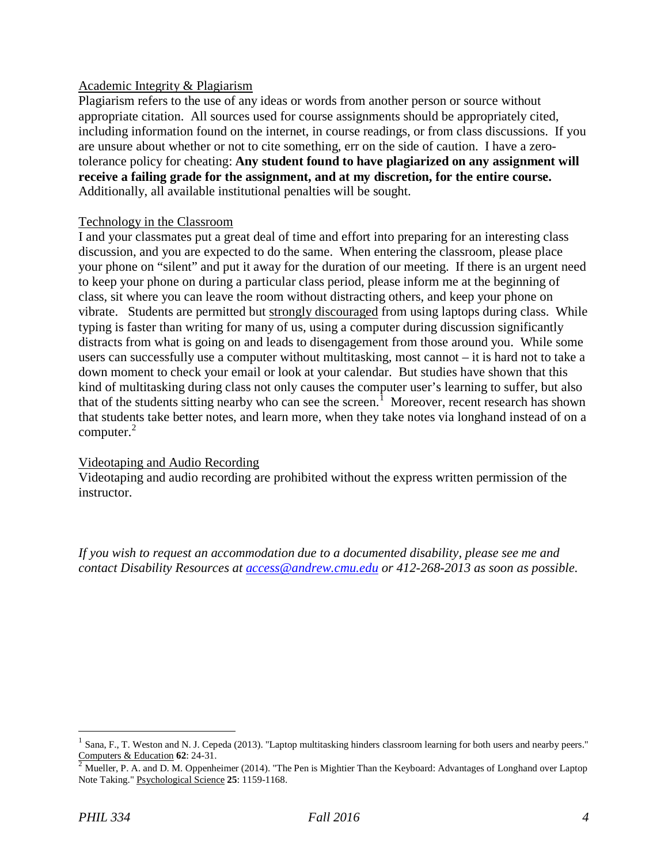## Academic Integrity & Plagiarism

Plagiarism refers to the use of any ideas or words from another person or source without appropriate citation. All sources used for course assignments should be appropriately cited, including information found on the internet, in course readings, or from class discussions. If you are unsure about whether or not to cite something, err on the side of caution. I have a zerotolerance policy for cheating: **Any student found to have plagiarized on any assignment will receive a failing grade for the assignment, and at my discretion, for the entire course.** Additionally, all available institutional penalties will be sought.

#### Technology in the Classroom

I and your classmates put a great deal of time and effort into preparing for an interesting class discussion, and you are expected to do the same. When entering the classroom, please place your phone on "silent" and put it away for the duration of our meeting. If there is an urgent need to keep your phone on during a particular class period, please inform me at the beginning of class, sit where you can leave the room without distracting others, and keep your phone on vibrate. Students are permitted but strongly discouraged from using laptops during class. While typing is faster than writing for many of us, using a computer during discussion significantly distracts from what is going on and leads to disengagement from those around you. While some users can successfully use a computer without multitasking, most cannot – it is hard not to take a down moment to check your email or look at your calendar. But studies have shown that this kind of multitasking during class not only causes the computer user's learning to suffer, but also that of the students sitting nearby who can see the screen.<sup>[1](#page-5-0)</sup> Moreover, recent research has shown that students take better notes, and learn more, when they take notes via longhand instead of on a computer. [2](#page-3-0)

## Videotaping and Audio Recording

Videotaping and audio recording are prohibited without the express written permission of the instructor.

*If you wish to request an accommodation due to a documented disability, please see me and contact Disability Resources at [access@andrew.cmu.edu](mailto:access@andrew.cmu.edu) or 412-268-2013 as soon as possible.*

<sup>&</sup>lt;sup>1</sup> Sana, F., T. Weston and N. J. Cepeda (2013). "Laptop multitasking hinders classroom learning for both users and nearby peers."<br>
<sup>2</sup> Mueller P. A. and D. M. Opportunity (2014). "The present of the set of the contract o

<span id="page-3-0"></span>Mueller, P. A. and D. M. Oppenheimer (2014). "The Pen is Mightier Than the Keyboard: Advantages of Longhand over Laptop Note Taking." Psychological Science **25**: 1159-1168.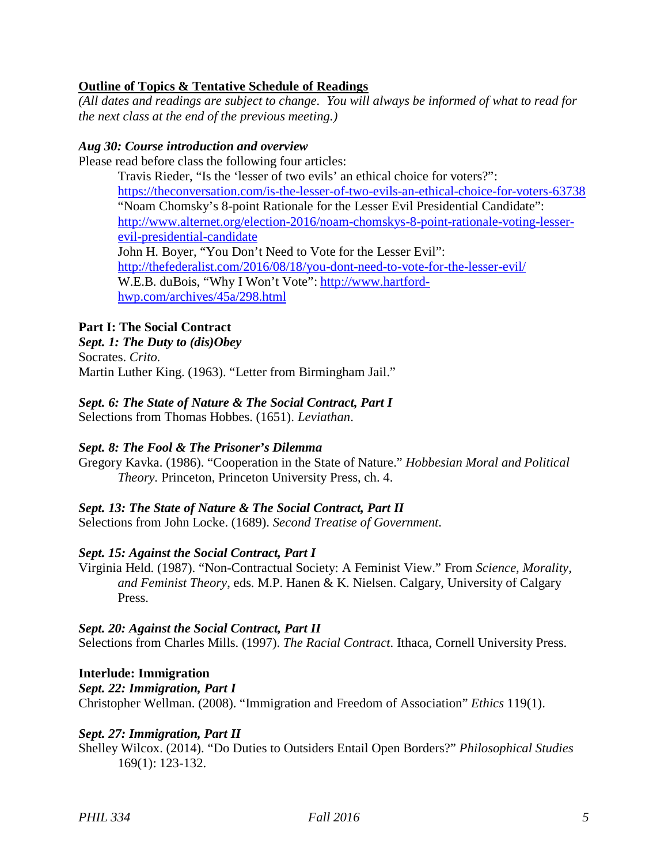# **Outline of Topics & Tentative Schedule of Readings**

*(All dates and readings are subject to change. You will always be informed of what to read for the next class at the end of the previous meeting.)*

## *Aug 30: Course introduction and overview*

Please read before class the following four articles:

Travis Rieder, "Is the 'lesser of two evils' an ethical choice for voters?": <https://theconversation.com/is-the-lesser-of-two-evils-an-ethical-choice-for-voters-63738> "Noam Chomsky's 8-point Rationale for the Lesser Evil Presidential Candidate": [http://www.alternet.org/election-2016/noam-chomskys-8-point-rationale-voting-lesser](http://www.alternet.org/election-2016/noam-chomskys-8-point-rationale-voting-lesser-evil-presidential-candidate)[evil-presidential-candidate](http://www.alternet.org/election-2016/noam-chomskys-8-point-rationale-voting-lesser-evil-presidential-candidate) John H. Boyer, "You Don't Need to Vote for the Lesser Evil": <http://thefederalist.com/2016/08/18/you-dont-need-to-vote-for-the-lesser-evil/> W.E.B. duBois, "Why I Won't Vote": [http://www.hartford](http://www.hartford-hwp.com/archives/45a/298.html)[hwp.com/archives/45a/298.html](http://www.hartford-hwp.com/archives/45a/298.html)

# **Part I: The Social Contract**

# *Sept. 1: The Duty to (dis)Obey*

Socrates. *Crito.* Martin Luther King. (1963). "Letter from Birmingham Jail."

# *Sept. 6: The State of Nature & The Social Contract, Part I*

Selections from Thomas Hobbes. (1651). *Leviathan*.

# *Sept. 8: The Fool & The Prisoner's Dilemma*

Gregory Kavka. (1986). "Cooperation in the State of Nature." *Hobbesian Moral and Political Theory.* Princeton, Princeton University Press, ch. 4.

# *Sept. 13: The State of Nature & The Social Contract, Part II*

Selections from John Locke. (1689). *Second Treatise of Government.*

## *Sept. 15: Against the Social Contract, Part I*

Virginia Held. (1987). "Non-Contractual Society: A Feminist View." From *Science, Morality, and Feminist Theory*, eds. M.P. Hanen & K. Nielsen. Calgary, University of Calgary Press.

## *Sept. 20: Against the Social Contract, Part II*

Selections from Charles Mills. (1997). *The Racial Contract.* Ithaca, Cornell University Press.

## **Interlude: Immigration**

*Sept. 22: Immigration, Part I*

Christopher Wellman. (2008). "Immigration and Freedom of Association" *Ethics* 119(1).

## *Sept. 27: Immigration, Part II*

Shelley Wilcox. (2014). "Do Duties to Outsiders Entail Open Borders?" *Philosophical Studies* 169(1): 123-132.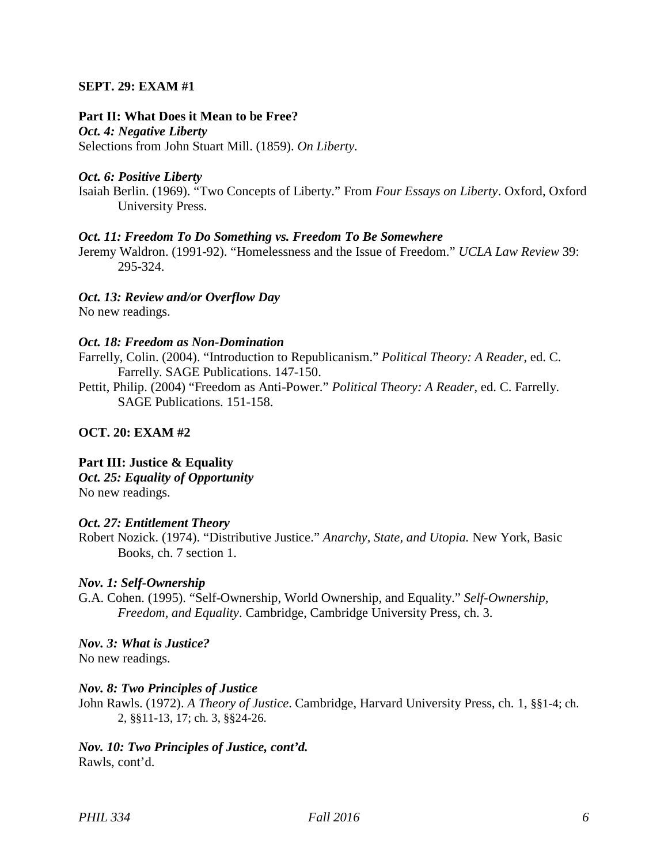# **SEPT. 29: EXAM #1**

#### **Part II: What Does it Mean to be Free?**

*Oct. 4: Negative Liberty* Selections from John Stuart Mill. (1859). *On Liberty.*

#### *Oct. 6: Positive Liberty*

Isaiah Berlin. (1969). "Two Concepts of Liberty." From *Four Essays on Liberty*. Oxford, Oxford University Press.

#### *Oct. 11: Freedom To Do Something vs. Freedom To Be Somewhere*

Jeremy Waldron. (1991-92). "Homelessness and the Issue of Freedom." *UCLA Law Review* 39: 295-324.

## *Oct. 13: Review and/or Overflow Day*

No new readings.

## *Oct. 18: Freedom as Non-Domination*

Farrelly, Colin. (2004). "Introduction to Republicanism." *Political Theory: A Reader*, ed. C. Farrelly. SAGE Publications. 147-150.

Pettit, Philip. (2004) "Freedom as Anti-Power." *Political Theory: A Reader*, ed. C. Farrelly. SAGE Publications. 151-158.

## **OCT. 20: EXAM #2**

## **Part III: Justice & Equality**

*Oct. 25: Equality of Opportunity*

No new readings.

## *Oct. 27: Entitlement Theory*

Robert Nozick. (1974). "Distributive Justice." *Anarchy, State, and Utopia.* New York, Basic Books, ch. 7 section 1.

## *Nov. 1: Self-Ownership*

G.A. Cohen. (1995). "Self-Ownership, World Ownership, and Equality." *Self-Ownership, Freedom, and Equality*. Cambridge, Cambridge University Press, ch. 3.

#### *Nov. 3: What is Justice?*

No new readings.

## *Nov. 8: Two Principles of Justice*

John Rawls. (1972). *A Theory of Justice*. Cambridge, Harvard University Press, ch. 1, §§1-4; ch. 2, §§11-13, 17; ch. 3, §§24-26.

<span id="page-5-0"></span>*Nov. 10: Two Principles of Justice, cont'd.* Rawls, cont'd.